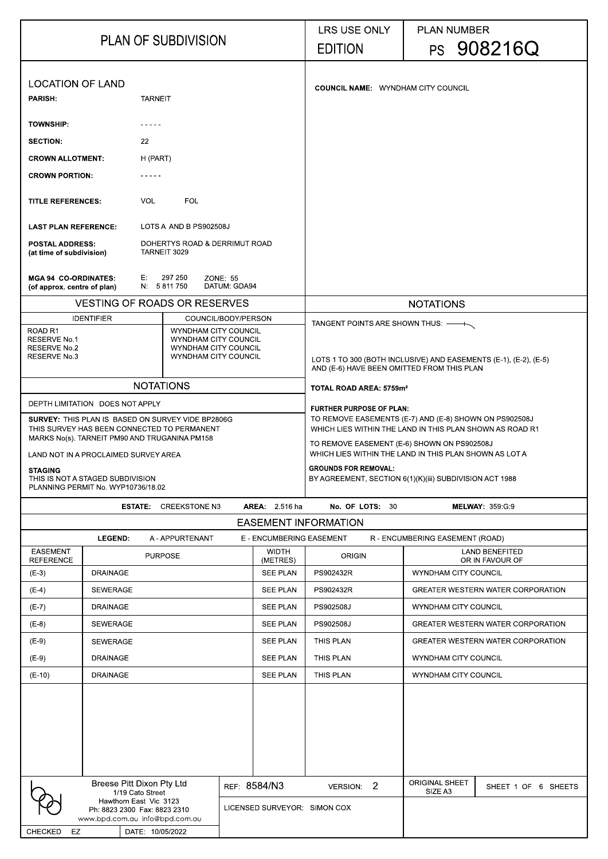| <b>PLAN OF SUBDIVISION</b>                                        |                                                                                                                                                          |                 |                                               | <b>LRS USE ONLY</b><br><b>EDITION</b>                                                                                                                                                                                       |                                           | <b>PLAN NUMBER</b>                                                                                             | PS 908216Q                               |                                  |                                          |  |
|-------------------------------------------------------------------|----------------------------------------------------------------------------------------------------------------------------------------------------------|-----------------|-----------------------------------------------|-----------------------------------------------------------------------------------------------------------------------------------------------------------------------------------------------------------------------------|-------------------------------------------|----------------------------------------------------------------------------------------------------------------|------------------------------------------|----------------------------------|------------------------------------------|--|
| <b>LOCATION OF LAND</b><br><b>PARISH</b><br><b>TARNEIT</b>        |                                                                                                                                                          |                 |                                               |                                                                                                                                                                                                                             | <b>COUNCIL NAME: WYNDHAM CITY COUNCIL</b> |                                                                                                                |                                          |                                  |                                          |  |
| <b>TOWNSHIP:</b>                                                  |                                                                                                                                                          |                 |                                               |                                                                                                                                                                                                                             |                                           |                                                                                                                |                                          |                                  |                                          |  |
| <b>SECTION:</b>                                                   |                                                                                                                                                          | 22              |                                               |                                                                                                                                                                                                                             |                                           |                                                                                                                |                                          |                                  |                                          |  |
|                                                                   |                                                                                                                                                          |                 |                                               |                                                                                                                                                                                                                             |                                           |                                                                                                                |                                          |                                  |                                          |  |
| <b>CROWN ALLOTMENT:</b>                                           |                                                                                                                                                          | H (PART)        |                                               |                                                                                                                                                                                                                             |                                           |                                                                                                                |                                          |                                  |                                          |  |
| <b>CROWN PORTION:</b>                                             |                                                                                                                                                          |                 |                                               |                                                                                                                                                                                                                             |                                           |                                                                                                                |                                          |                                  |                                          |  |
| <b>TITLE REFERENCES:</b>                                          |                                                                                                                                                          | <b>VOL</b>      | <b>FOL</b>                                    |                                                                                                                                                                                                                             |                                           |                                                                                                                |                                          |                                  |                                          |  |
| <b>LAST PLAN REFERENCE:</b>                                       |                                                                                                                                                          |                 | LOTS A AND B PS902508J                        |                                                                                                                                                                                                                             |                                           |                                                                                                                |                                          |                                  |                                          |  |
| <b>POSTAL ADDRESS:</b><br>(at time of subdivision)                |                                                                                                                                                          |                 | DOHERTYS ROAD & DERRIMUT ROAD<br>TARNEIT 3029 |                                                                                                                                                                                                                             |                                           |                                                                                                                |                                          |                                  |                                          |  |
| <b>MGA 94 CO-ORDINATES:</b><br>(of approx. centre of plan)        |                                                                                                                                                          |                 | E 297 250<br>N: 5811750                       | <b>ZONE: 55</b><br>DATUM GDA94                                                                                                                                                                                              |                                           |                                                                                                                |                                          |                                  |                                          |  |
|                                                                   |                                                                                                                                                          |                 | <b>VESTING OF ROADS OR RESERVES</b>           |                                                                                                                                                                                                                             |                                           |                                                                                                                |                                          | <b>NOTATIONS</b>                 |                                          |  |
| ROAD <sub>R1</sub>                                                | <b>IDENTIFIER</b>                                                                                                                                        |                 | COUNCIL/BODY/PERSON                           |                                                                                                                                                                                                                             |                                           | TANGENT POINTS ARE SHOWN THUS: —                                                                               |                                          |                                  |                                          |  |
| <b>RESERVE No.1</b><br><b>RESERVE No.2</b><br><b>RESERVE No 3</b> | WYNDHAM CITY COUNCIL<br>WYNDHAM CITY COUNCIL<br>WYNDHAM CITY COUNCIL<br><b>WYNDHAM CITY COUNCIL</b>                                                      |                 |                                               |                                                                                                                                                                                                                             |                                           | LOTS 1 TO 300 (BOTH INCLUSIVE) AND EASEMENTS (E-1), (E-2), (E-5)<br>AND (E-6) HAVE BEEN OMITTED FROM THIS PLAN |                                          |                                  |                                          |  |
| <b>NOTATIONS</b>                                                  |                                                                                                                                                          |                 |                                               | TOTAL ROAD AREA: 5759m <sup>2</sup>                                                                                                                                                                                         |                                           |                                                                                                                |                                          |                                  |                                          |  |
|                                                                   | DEPTH LIMITATION DOES NOT APPLY                                                                                                                          |                 |                                               | <b>FURTHER PURPOSE OF PLAN:</b>                                                                                                                                                                                             |                                           |                                                                                                                |                                          |                                  |                                          |  |
|                                                                   | <b>SURVEY: THIS PLAN IS BASED ON SURVEY VIDE BP2806G</b><br>THIS SURVEY HAS BEEN CONNECTED TO PERMANENT<br>MARKS No(s). TARNEIT PM90 AND TRUGANINA PM158 |                 |                                               | TO REMOVE EASEMENTS (E-7) AND (E-8) SHOWN ON PS902508J<br>WHICH LIES WITHIN THE LAND IN THIS PLAN SHOWN AS ROAD R1<br>TO REMOVE EASEMENT (E-6) SHOWN ON PS902508J<br>WHICH LIES WITHIN THE LAND IN THIS PLAN SHOWN AS LOT A |                                           |                                                                                                                |                                          |                                  |                                          |  |
| <b>STAGING</b>                                                    | LAND NOT IN A PROCLAIMED SURVEY AREA<br>THIS IS NOT A STAGED SUBDIVISION<br>PLANNING PERMIT No. WYP10736/18.02                                           |                 |                                               | <b>GROUNDS FOR REMOVAL:</b><br>BY AGREEMENT, SECTION 6(1)(K)(iii) SUBDIVISION ACT 1988                                                                                                                                      |                                           |                                                                                                                |                                          |                                  |                                          |  |
|                                                                   |                                                                                                                                                          |                 | <b>ESTATE:</b> CREEKSTONE N3                  |                                                                                                                                                                                                                             | <b>AREA:</b> 2.516 ha                     | No. OF LOTS: 30                                                                                                |                                          |                                  | <b>MELWAY: 359 G.9</b>                   |  |
|                                                                   |                                                                                                                                                          |                 |                                               |                                                                                                                                                                                                                             |                                           | <b>EASEMENT INFORMATION</b>                                                                                    |                                          |                                  |                                          |  |
|                                                                   | <b>LEGEND</b>                                                                                                                                            |                 | A - APPURTENANT                               |                                                                                                                                                                                                                             | E - ENCUMBERING EASEMENT                  |                                                                                                                |                                          | R - ENCUMBERING EASEMENT (ROAD)  |                                          |  |
| <b>EASEMENT</b><br><b>REFERENCE</b>                               | <b>PURPOSE</b>                                                                                                                                           |                 | <b>WIDTH</b><br>(METRES)                      | <b>ORIGIN</b>                                                                                                                                                                                                               |                                           |                                                                                                                | <b>LAND BENEFITED</b><br>OR IN FAVOUR OF |                                  |                                          |  |
| $(E-3)$                                                           | <b>DRAINAGE</b>                                                                                                                                          |                 |                                               | <b>SEE PLAN</b>                                                                                                                                                                                                             | PS902432R                                 |                                                                                                                | <b>WYNDHAM CITY COUNCIL</b>              |                                  |                                          |  |
| $(E-4)$                                                           | <b>SEWERAGE</b>                                                                                                                                          |                 |                                               |                                                                                                                                                                                                                             | <b>SEE PLAN</b>                           | PS902432R                                                                                                      |                                          |                                  | <b>GREATER WESTERN WATER CORPORATION</b> |  |
| $(E-7)$                                                           | <b>DRAINAGE</b>                                                                                                                                          |                 |                                               |                                                                                                                                                                                                                             | <b>SEE PLAN</b>                           | PS902508J                                                                                                      |                                          | <b>WYNDHAM CITY COUNCIL</b>      |                                          |  |
| $(E-8)$                                                           | <b>SEWERAGE</b>                                                                                                                                          |                 |                                               |                                                                                                                                                                                                                             | <b>SEE PLAN</b>                           | PS902508J                                                                                                      |                                          |                                  | <b>GREATER WESTERN WATER CORPORATION</b> |  |
| $(E-9)$                                                           | <b>SEWERAGE</b>                                                                                                                                          |                 |                                               |                                                                                                                                                                                                                             | <b>SEE PLAN</b>                           | <b>THIS PLAN</b>                                                                                               |                                          |                                  | <b>GREATER WESTERN WATER CORPORATION</b> |  |
| $(E-9)$                                                           | <b>DRAINAGE</b>                                                                                                                                          |                 |                                               |                                                                                                                                                                                                                             | <b>SEE PLAN</b>                           | <b>THIS PLAN</b>                                                                                               |                                          | <b>WYNDHAM CITY COUNCIL</b>      |                                          |  |
| $(E-10)$                                                          | <b>DRAINAGE</b>                                                                                                                                          |                 |                                               |                                                                                                                                                                                                                             | <b>SEE PLAN</b>                           | THIS PLAN                                                                                                      |                                          | <b>WYNDHAM CITY COUNCIL</b>      |                                          |  |
|                                                                   |                                                                                                                                                          |                 |                                               |                                                                                                                                                                                                                             |                                           |                                                                                                                |                                          |                                  |                                          |  |
|                                                                   | <b>Breese Pitt Dixon Pty Ltd</b><br>REF: 8584/N3<br>1/19 Cato Street                                                                                     |                 |                                               |                                                                                                                                                                                                                             |                                           | VERSION: 2                                                                                                     |                                          | <b>ORIGINAL SHEET</b><br>SIZE A3 | SHEET 1 OF<br>6 SHEETS                   |  |
|                                                                   | Hawthorn East Vic 3123<br>Ph: 8823 2300 Fax: 8823 2310<br>www.bpd.com.au info@bpd.com.au                                                                 |                 |                                               |                                                                                                                                                                                                                             | LICENSED SURVEYOR: SIMON COX              |                                                                                                                |                                          |                                  |                                          |  |
| <b>CHECKED</b><br>EZ                                              |                                                                                                                                                          | DATE 10/05/2022 |                                               |                                                                                                                                                                                                                             |                                           |                                                                                                                |                                          |                                  |                                          |  |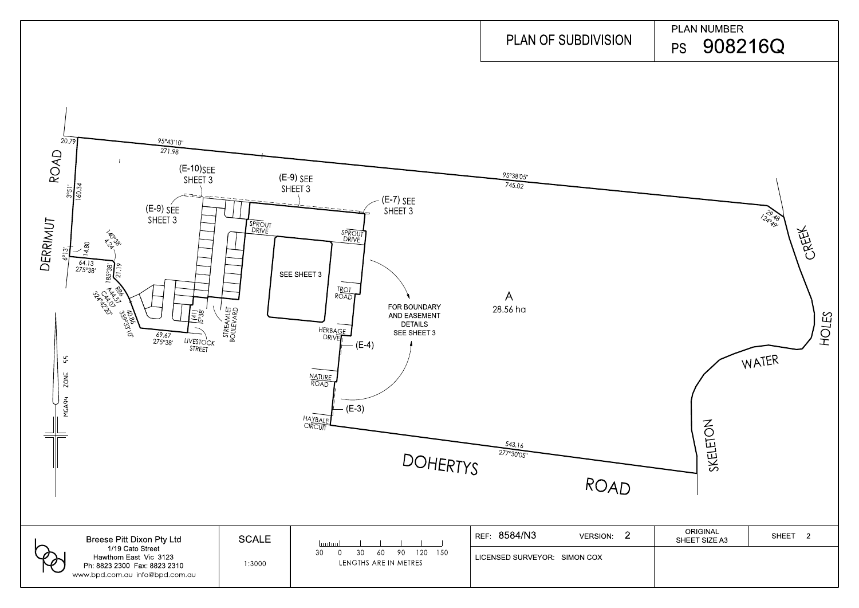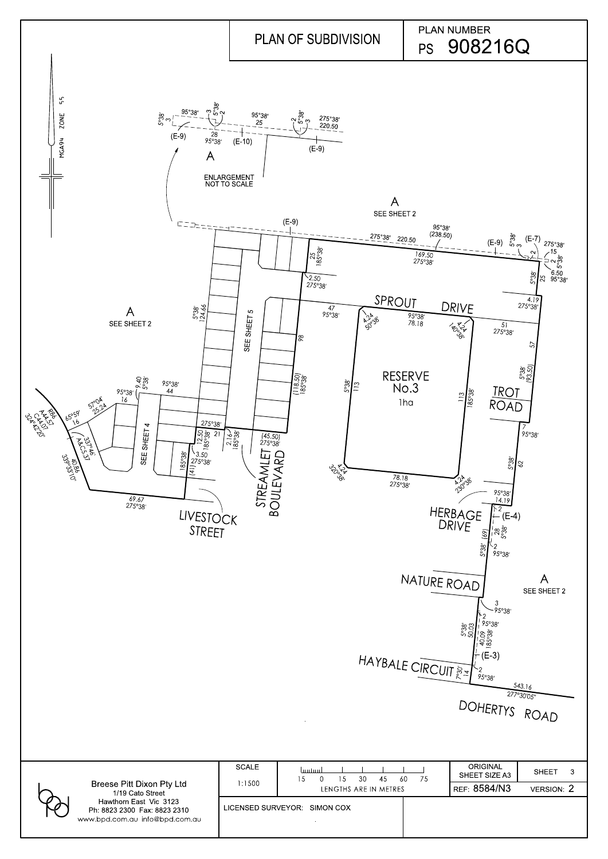

|                                                                                          |              | HAYBALE CIRCUIT 22 95038'                             | $\frac{1}{\Gamma}$ (E-3)<br>DOHERTYS ROAD | 543.16                       |
|------------------------------------------------------------------------------------------|--------------|-------------------------------------------------------|-------------------------------------------|------------------------------|
|                                                                                          | <b>SCALE</b> | <b>bodou</b><br>30<br>75<br>45<br>60<br>15<br>0<br>15 | <b>ORIGINAL</b><br>SHEET SIZE A3          | <b>SHEET</b><br>$\mathbf{3}$ |
| <b>Breese Pitt Dixon Pty Ltd</b><br>1/19 Cato Street                                     | 1:1500       | LENGTHS ARE IN METRES                                 | REF 8584/N3                               | <b>VERSION: 2</b>            |
| Hawthorn East Vic 3123<br>Ph. 8823 2300 Fax: 8823 2310<br>www.bpd.com.au info@bpd.com.au |              | LICENSED SURVEYOR: SIMON COX                          |                                           |                              |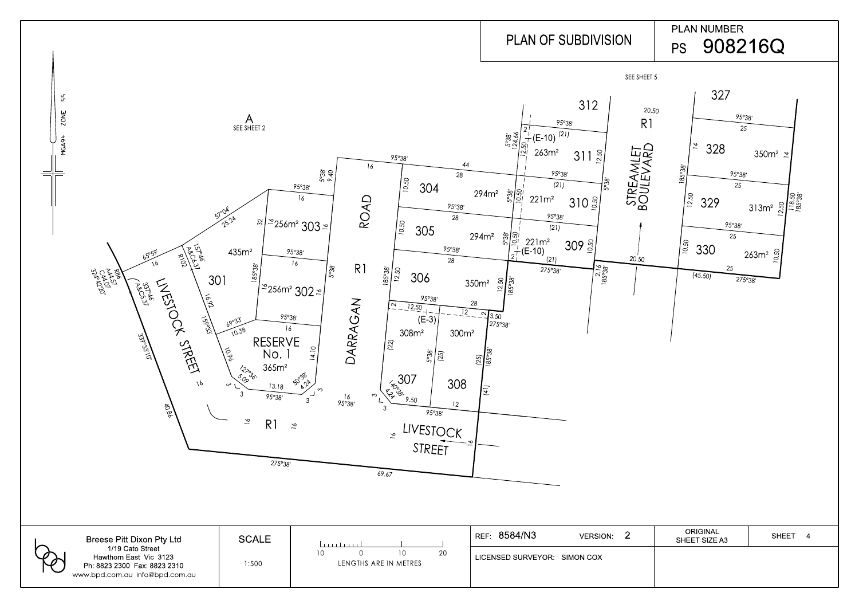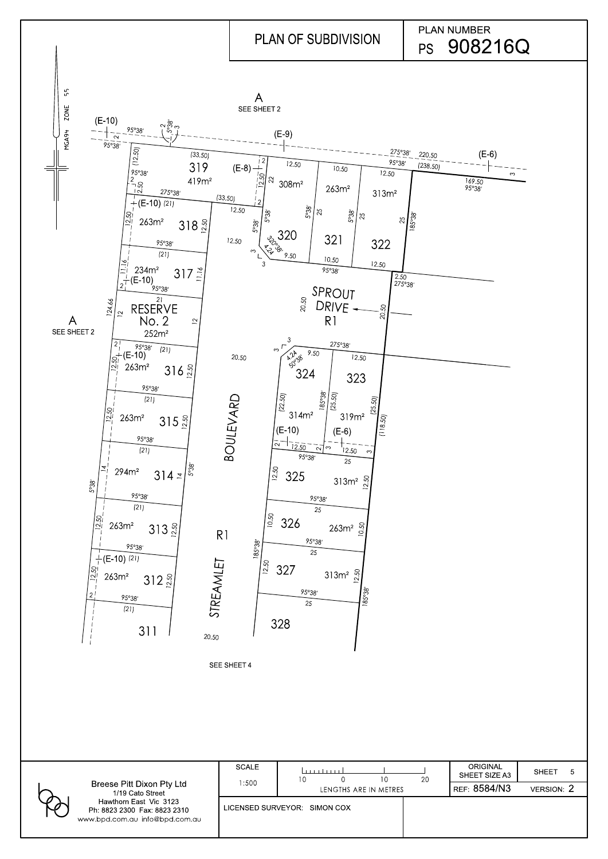|  | Breese Pitt Dixon Pty Ltd<br>1/19 Cato Street<br>Hawthorn East Vic 3123<br>Ph: 8823 2300 Fax: 8823 2310<br>www.bpd.com.au info@bpd.com.au | SCALE<br>:500                | .<br>10               | 10 | 20          | <b>ORIGINAL</b><br>SHEET SIZE A3 | <b>SHEET</b> |
|--|-------------------------------------------------------------------------------------------------------------------------------------------|------------------------------|-----------------------|----|-------------|----------------------------------|--------------|
|  |                                                                                                                                           |                              | LENGTHS ARE IN METRES |    | REF 8584/N3 | <b>VERSION: 2</b>                |              |
|  |                                                                                                                                           | LICENSED SURVEYOR: SIMON COX |                       |    |             |                                  |              |



SEE SHEET 4